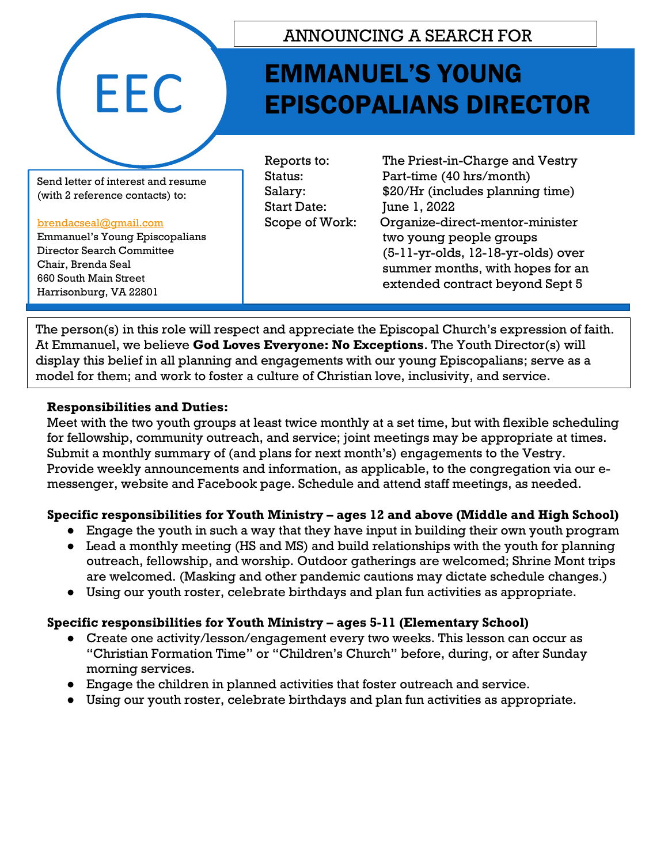

### ANNOUNCING A SEARCH FOR

## EMMANUEL'S YOUNG EPISCOPALIANS DIRECTOR

Send letter of interest and resume (with 2 reference contacts) to:

#### [brendacseal@gmail.com](mailto:brendacseal@gmail.com)

Emmanuel's Young Episcopalians Director Search Committee Chair, Brenda Seal 660 South Main Street Harrisonburg, VA 22801

Start Date: June 1, 2022

Reports to: The Priest-in-Charge and Vestry Status: Part-time (40 hrs/month) Salary: \$20/Hr (includes planning time) Scope of Work: Organize-direct-mentor-minister two young people groups (5-11-yr-olds, 12-18-yr-olds) over summer months, with hopes for an extended contract beyond Sept 5

The person(s) in this role will respect and appreciate the Episcopal Church's expression of faith. At Emmanuel, we believe **God Loves Everyone: No Exceptions**. The Youth Director(s) will display this belief in all planning and engagements with our young Episcopalians; serve as a model for them; and work to foster a culture of Christian love, inclusivity, and service. Harrisonburg, VA 22801

#### **Responsibilities and Duties:**

Meet with the two youth groups at least twice monthly at a set time, but with flexible scheduling for fellowship, community outreach, and service; joint meetings may be appropriate at times. Submit a monthly summary of (and plans for next month's) engagements to the Vestry. Provide weekly announcements and information, as applicable, to the congregation via our emessenger, website and Facebook page. Schedule and attend staff meetings, as needed.

#### **Specific responsibilities for Youth Ministry – ages 12 and above (Middle and High School)**

- Engage the youth in such a way that they have input in building their own youth program
- Lead a monthly meeting (HS and MS) and build relationships with the youth for planning outreach, fellowship, and worship. Outdoor gatherings are welcomed; Shrine Mont trips are welcomed. (Masking and other pandemic cautions may dictate schedule changes.)
- Using our youth roster, celebrate birthdays and plan fun activities as appropriate.

### **Specific responsibilities for Youth Ministry – ages 5-11 (Elementary School)**

- Create one activity/lesson/engagement every two weeks. This lesson can occur as "Christian Formation Time" or "Children's Church" before, during, or after Sunday morning services.
- Engage the children in planned activities that foster outreach and service.
- Using our youth roster, celebrate birthdays and plan fun activities as appropriate.